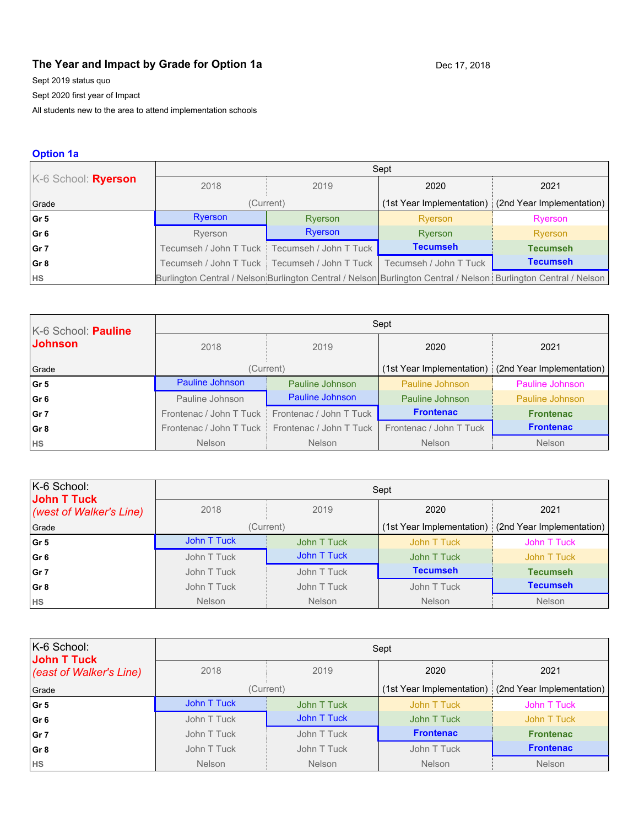# **The Year and Impact by Grade for Option 1a** Dec 17, 2018

Sept 2019 status quo

Sept 2020 first year of Impact

All students new to the area to attend implementation schools

## **Option 1a**

|                     | Sept    |                                                 |                        |                                                                                                                 |
|---------------------|---------|-------------------------------------------------|------------------------|-----------------------------------------------------------------------------------------------------------------|
| K-6 School: Ryerson | 2018    | 2019                                            | 2020                   | 2021                                                                                                            |
| Grade               |         | (Current)                                       |                        | (1st Year Implementation) (2nd Year Implementation)                                                             |
| Gr5                 | Ryerson | Ryerson                                         | Ryerson                | Ryerson                                                                                                         |
| Gr 6                | Ryerson | Ryerson                                         | Ryerson                | Ryerson                                                                                                         |
| l Gr 7              |         | Tecumseh / John T Tuck   Tecumseh / John T Tuck | <b>Tecumseh</b>        | <b>Tecumseh</b>                                                                                                 |
| Gr 8                |         | Tecumseh / John T Tuck   Tecumseh / John T Tuck | Tecumseh / John T Tuck | <b>Tecumseh</b>                                                                                                 |
| <b>HS</b>           |         |                                                 |                        | Burlington Central / Nelson Burlington Central / Nelson Burlington Central / Nelson Burlington Central / Nelson |

| K-6 School: Pauline | Sept                    |                         |                           |                           |
|---------------------|-------------------------|-------------------------|---------------------------|---------------------------|
| <b>Johnson</b>      | 2018                    | 2019                    | 2020                      | 2021                      |
| Grade               | (Current)               |                         | (1st Year Implementation) | (2nd Year Implementation) |
| l Gr 5              | Pauline Johnson         | Pauline Johnson         | Pauline Johnson           | Pauline Johnson           |
| Gr 6                | Pauline Johnson         | Pauline Johnson         | Pauline Johnson           | Pauline Johnson           |
| Gr 7                | Frontenac / John T Tuck | Frontenac / John T Tuck | <b>Frontenac</b>          | <b>Frontenac</b>          |
| Gr 8                | Frontenac / John T Tuck | Frontenac / John T Tuck | Frontenac / John T Tuck   | <b>Frontenac</b>          |
| <b>HS</b>           | <b>Nelson</b>           | <b>Nelson</b>           | <b>Nelson</b>             | <b>Nelson</b>             |

| $K-6$ School:<br>John T Tuck | Sept          |               |                 |                                                       |
|------------------------------|---------------|---------------|-----------------|-------------------------------------------------------|
| (west of Walker's Line)      | 2018          | 2019          | 2020            | 2021                                                  |
| Grade                        | (Current)     |               |                 | (1st Year Implementation) : (2nd Year Implementation) |
| Gr5                          | John T Tuck   | John T Tuck   | John T Tuck     | John T Tuck                                           |
| Gr 6                         | John T Tuck   | John T Tuck   | John T Tuck     | John T Tuck                                           |
| l Gr 7                       | John T Tuck   | John T Tuck   | <b>Tecumseh</b> | <b>Tecumseh</b>                                       |
| Gr 8                         | John T Tuck   | John T Tuck   | John T Tuck     | <b>Tecumseh</b>                                       |
| <b>HS</b>                    | <b>Nelson</b> | <b>Nelson</b> | Nelson          | <b>Nelson</b>                                         |

| K-6 School:<br>John T Tuck | Sept          |               |                  |                                                     |
|----------------------------|---------------|---------------|------------------|-----------------------------------------------------|
| (east of Walker's Line)    | 2018          | 2019          | 2020             | 2021                                                |
| Grade                      | (Current)     |               |                  | (1st Year Implementation) (2nd Year Implementation) |
| Gr5                        | John T Tuck   | John T Tuck   | John T Tuck      | John T Tuck                                         |
| Gr 6                       | John T Tuck   | John T Tuck   | John T Tuck      | John T Tuck                                         |
| l Gr 7                     | John T Tuck   | John T Tuck   | <b>Frontenac</b> | <b>Frontenac</b>                                    |
| Gr 8                       | John T Tuck   | John T Tuck   | John T Tuck      | <b>Frontenac</b>                                    |
| <b>HS</b>                  | <b>Nelson</b> | <b>Nelson</b> | <b>Nelson</b>    | <b>Nelson</b>                                       |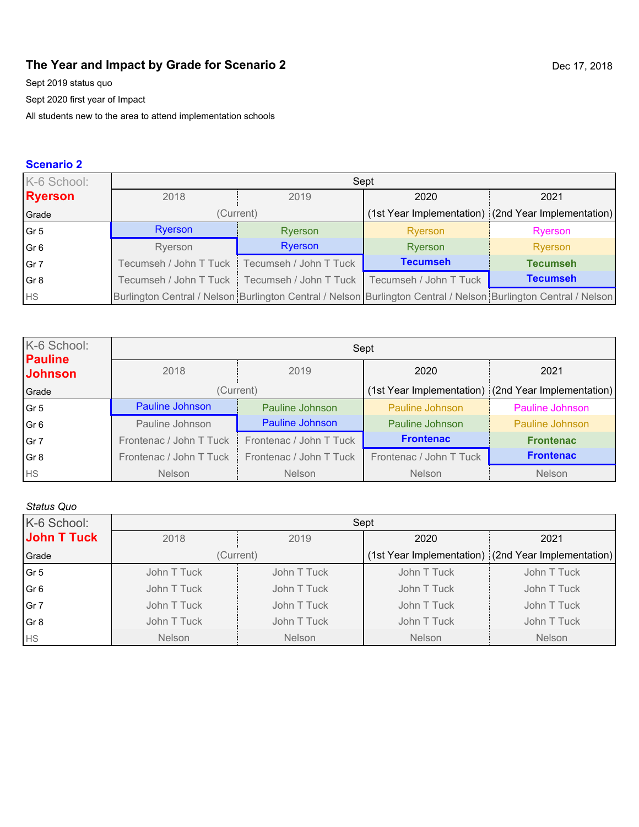# **The Year and Impact by Grade for Scenario 2** Dec 17, 2018

Sept 2019 status quo

Sept 2020 first year of Impact

All students new to the area to attend implementation schools

# **Scenario 2**

| K-6 School:     | Sept    |                                                                          |                 |                                                                                                                 |
|-----------------|---------|--------------------------------------------------------------------------|-----------------|-----------------------------------------------------------------------------------------------------------------|
| <b>Ryerson</b>  | 2018    | 2019                                                                     | 2020            | 2021                                                                                                            |
| Grade           |         | (Current)                                                                |                 | (1st Year Implementation) (2nd Year Implementation)                                                             |
| Gr 5            | Ryerson | Ryerson                                                                  | Ryerson         | Ryerson                                                                                                         |
| Gr <sub>6</sub> | Ryerson | Ryerson                                                                  | Ryerson         | Ryerson                                                                                                         |
| Gr 7            |         | Tecumseh / John T Tuck Tecumseh / John T Tuck                            | <b>Tecumseh</b> | <b>Tecumseh</b>                                                                                                 |
| Gr <sub>8</sub> |         | Tecumseh / John T Tuck   Tecumseh / John T Tuck   Tecumseh / John T Tuck |                 | <b>Tecumseh</b>                                                                                                 |
| HS              |         |                                                                          |                 | Burlington Central / Nelson Burlington Central / Nelson Burlington Central / Nelson Burlington Central / Nelson |

| K-6 School:<br><b>Pauline</b> | Sept                    |                         |                         |                                                     |
|-------------------------------|-------------------------|-------------------------|-------------------------|-----------------------------------------------------|
| <b>Johnson</b>                | 2018                    | 2019                    | 2020                    | 2021                                                |
| Grade                         | (Current)               |                         |                         | (1st Year Implementation) (2nd Year Implementation) |
| Gr <sub>5</sub>               | Pauline Johnson         | Pauline Johnson         | Pauline Johnson         | Pauline Johnson                                     |
| Gr <sub>6</sub>               | Pauline Johnson         | Pauline Johnson         | Pauline Johnson         | Pauline Johnson                                     |
| Gr 7                          | Frontenac / John T Tuck | Frontenac / John T Tuck | <b>Frontenac</b>        | <b>Frontenac</b>                                    |
| Gr <sub>8</sub>               | Frontenac / John T Tuck | Frontenac / John T Tuck | Frontenac / John T Tuck | <b>Frontenac</b>                                    |
| <b>HS</b>                     | <b>Nelson</b>           | <b>Nelson</b>           | <b>Nelson</b>           | Nelson                                              |

### *Status Quo*

| K-6 School:     | Sept          |               |               |                                                     |
|-----------------|---------------|---------------|---------------|-----------------------------------------------------|
| John T Tuck     | 2018          | 2019          | 2020          | 2021                                                |
| Grade           |               | (Current)     |               | (1st Year Implementation) (2nd Year Implementation) |
| Gr <sub>5</sub> | John T Tuck   | John T Tuck   | John T Tuck   | John T Tuck                                         |
| Gr <sub>6</sub> | John T Tuck   | John T Tuck   | John T Tuck   | John T Tuck                                         |
| Gr 7            | John T Tuck   | John T Tuck   | John T Tuck   | John T Tuck                                         |
| Gr <sub>8</sub> | John T Tuck   | John T Tuck   | John T Tuck   | John T Tuck                                         |
| <b>HS</b>       | <b>Nelson</b> | <b>Nelson</b> | <b>Nelson</b> | <b>Nelson</b>                                       |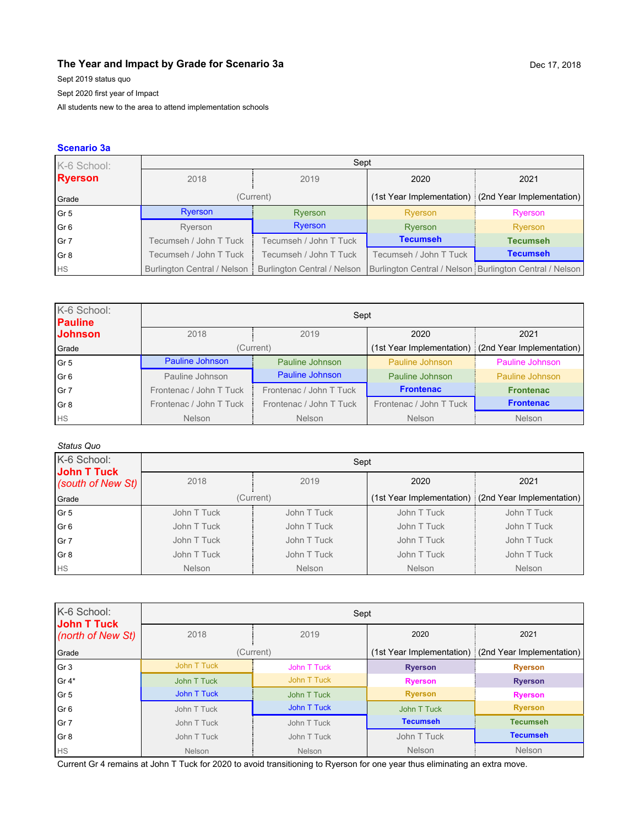### **The Year and Impact by Grade for Scenario 3a Dec 17, 2018** Dec 17, 2018

Sept 2019 status quo Sept 2020 first year of Impact

All students new to the area to attend implementation schools

### **Scenario 3a**

| K-6 School:    | Sept                        |                             |                        |                                                         |
|----------------|-----------------------------|-----------------------------|------------------------|---------------------------------------------------------|
| <b>Ryerson</b> | 2018                        | 2019                        | 2020                   | 2021                                                    |
| Grade          |                             | (Current)                   |                        | (1st Year Implementation) (2nd Year Implementation)     |
| l Gr 5         | Ryerson                     | Ryerson                     | Ryerson                | Ryerson                                                 |
| l Gr 6         | Ryerson                     | Ryerson                     | Ryerson                | Ryerson                                                 |
| l Gr 7         | Tecumseh / John T Tuck      | Tecumseh / John T Tuck      | <b>Tecumseh</b>        | <b>Tecumseh</b>                                         |
| l Gr 8         | Tecumseh / John T Tuck      | Tecumseh / John T Tuck      | Tecumseh / John T Tuck | <b>Tecumseh</b>                                         |
| <b>HS</b>      | Burlington Central / Nelson | Burlington Central / Nelson |                        | Burlington Central / Nelson Burlington Central / Nelson |

| K-6 School:<br><b>Pauline</b> | Sept                    |                         |                         |                                                     |
|-------------------------------|-------------------------|-------------------------|-------------------------|-----------------------------------------------------|
| <b>Johnson</b>                | 2018                    | 2019                    | 2020                    | 2021                                                |
| Grade                         | (Current)               |                         |                         | (1st Year Implementation) (2nd Year Implementation) |
| l Gr 5                        | Pauline Johnson         | Pauline Johnson         | Pauline Johnson         | Pauline Johnson                                     |
| l Gr 6                        | Pauline Johnson         | Pauline Johnson         | Pauline Johnson         | Pauline Johnson                                     |
| l Gr 7                        | Frontenac / John T Tuck | Frontenac / John T Tuck | <b>Frontenac</b>        | <b>Frontenac</b>                                    |
| l Gr 8                        | Frontenac / John T Tuck | Frontenac / John T Tuck | Frontenac / John T Tuck | <b>Frontenac</b>                                    |
| <b>HS</b>                     | <b>Nelson</b>           | <b>Nelson</b>           | <b>Nelson</b>           | <b>Nelson</b>                                       |

### *Status Quo*

| K-6 School:<br>John T Tuck | Sept          |               |             |                                                     |
|----------------------------|---------------|---------------|-------------|-----------------------------------------------------|
| (south of New St)          | 2018          | 2019          | 2020        | 2021                                                |
| Grade                      | (Current)     |               |             | (1st Year Implementation) (2nd Year Implementation) |
| l Gr 5                     | John T Tuck   | John T Tuck   | John T Tuck | John T Tuck                                         |
| Gr 6                       | John T Tuck   | John T Tuck   | John T Tuck | John T Tuck                                         |
| l Gr 7                     | John T Tuck   | John T Tuck   | John T Tuck | John T Tuck                                         |
| l Gr 8                     | John T Tuck   | John T Tuck   | John T Tuck | John T Tuck                                         |
| <b>HS</b>                  | <b>Nelson</b> | <b>Nelson</b> | Nelson      | <b>Nelson</b>                                       |

| K-6 School:<br>John T Tuck | Sept        |               |                 |                                                     |
|----------------------------|-------------|---------------|-----------------|-----------------------------------------------------|
| (north of New St)          | 2018        | 2019          | 2020            | 2021                                                |
| Grade                      | (Current)   |               |                 | (1st Year Implementation) (2nd Year Implementation) |
| Gr 3                       | John T Tuck | John T Tuck   | <b>Ryerson</b>  | <b>Ryerson</b>                                      |
| $\mathsf{Gr}\,4^*$         | John T Tuck | John T Tuck   | <b>Ryerson</b>  | <b>Ryerson</b>                                      |
| Gr 5                       | John T Tuck | John T Tuck   | <b>Ryerson</b>  | <b>Ryerson</b>                                      |
| Gr 6                       | John T Tuck | John T Tuck   | John T Tuck     | <b>Ryerson</b>                                      |
| Gr 7                       | John T Tuck | John T Tuck   | <b>Tecumseh</b> | <b>Tecumseh</b>                                     |
| Gr 8                       | John T Tuck | John T Tuck   | John T Tuck     | <b>Tecumseh</b>                                     |
| <b>HS</b>                  | Nelson      | <b>Nelson</b> | Nelson          | <b>Nelson</b>                                       |

Current Gr 4 remains at John T Tuck for 2020 to avoid transitioning to Ryerson for one year thus eliminating an extra move.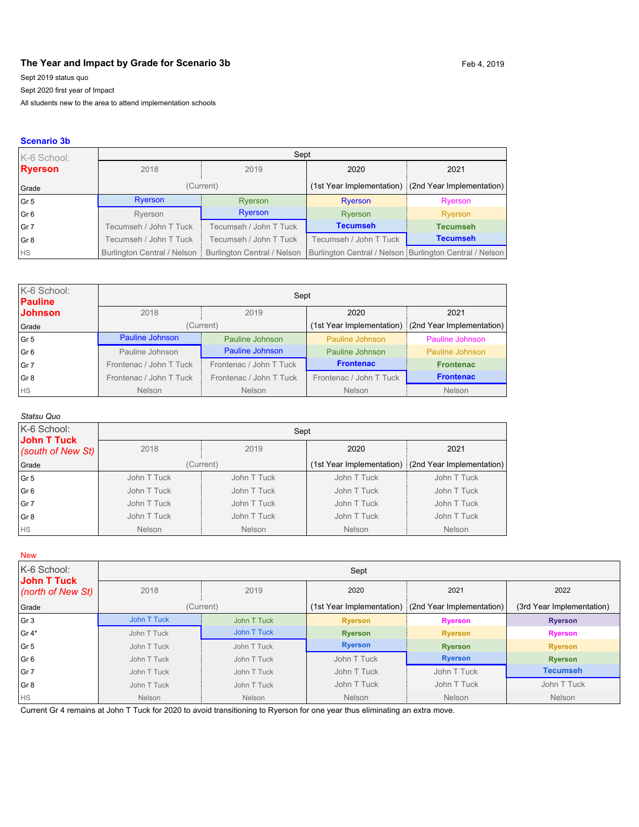### The Year and Impact by Grade for Scenario 3b Feb 4, 2019

Sept 2019 status quo

Sept 2020 first year of Impact

All students new to the area to attend implementation schools

#### **Scenario 3b**

| K-6 School:              | Sept                          |                                    |                        |                                                         |
|--------------------------|-------------------------------|------------------------------------|------------------------|---------------------------------------------------------|
| <b>Ryerson</b>           | 2018                          | 2019                               | 2020                   | 2021                                                    |
| Grade                    |                               | (Current)                          |                        | (1st Year Implementation) (2nd Year Implementation)     |
| Gr5                      | Ryerson                       | Ryerson                            | Ryerson                | Ryerson                                                 |
| $\overline{\text{Gr }6}$ | Ryerson                       | Ryerson                            | Ryerson                | Ryerson                                                 |
| $\vert$ Gr 7             | Tecumseh / John T Tuck        | Tecumseh / John T Tuck             | <b>Tecumseh</b>        | <b>Tecumseh</b>                                         |
| Gr 8                     | Tecumseh / John T Tuck        | Tecumseh / John T Tuck             | Tecumseh / John T Tuck | <b>Tecumseh</b>                                         |
| <b>HS</b>                | Burlington Central / Nelson i | <b>Burlington Central / Nelson</b> |                        | Burlington Central / Nelson Burlington Central / Nelson |

| K-6 School:<br><b>Pauline</b> | Sept                    |                         |                         |                                                     |  |
|-------------------------------|-------------------------|-------------------------|-------------------------|-----------------------------------------------------|--|
| <b>Johnson</b>                | 2018                    | 2019                    | 2020                    | 2021                                                |  |
| Grade                         |                         | (Current)               |                         | (1st Year Implementation) (2nd Year Implementation) |  |
| l Gr 5                        | Pauline Johnson         | Pauline Johnson         | Pauline Johnson         | Pauline Johnson                                     |  |
| l Gr 6                        | Pauline Johnson         | Pauline Johnson         | Pauline Johnson         | Pauline Johnson                                     |  |
| Gr 7                          | Frontenac / John T Tuck | Frontenac / John T Tuck | <b>Frontenac</b>        | <b>Frontenac</b>                                    |  |
| Gr 8                          | Frontenac / John T Tuck | Frontenac / John T Tuck | Frontenac / John T Tuck | <b>Frontenac</b>                                    |  |
| <b>HS</b>                     | <b>Nelson</b>           | <b>Nelson</b>           | Nelson                  | <b>Nelson</b>                                       |  |

#### *Statsu Quo*

| K-6 School:<br>John T Tuck | Sept          |               |               |                                                       |
|----------------------------|---------------|---------------|---------------|-------------------------------------------------------|
| (south of New St)          | 2018          | 2019          | 2020          | 2021                                                  |
| Grade                      | (Current)     |               |               | (1st Year Implementation) : (2nd Year Implementation) |
| $\sqrt{G}$ r 5             | John T Tuck   | John T Tuck   | John T Tuck   | John T Tuck                                           |
| $\overline{G}$ 6           | John T Tuck   | John T Tuck   | John T Tuck   | John T Tuck                                           |
| Gr 7                       | John T Tuck   | John T Tuck   | John T Tuck   | John T Tuck                                           |
| Gr 8                       | John T Tuck   | John T Tuck   | John T Tuck   | John T Tuck                                           |
| <b>HS</b>                  | <b>Nelson</b> | <b>Nelson</b> | <b>Nelson</b> | <b>Nelson</b>                                         |

New

| K-6 School:<br><b>John T Tuck</b> | Sept        |             |                           |                           |                           |  |
|-----------------------------------|-------------|-------------|---------------------------|---------------------------|---------------------------|--|
| (north of New St)                 | 2018        | 2019        | 2020                      | 2021                      | 2022                      |  |
| Grade                             |             | (Current)   | (1st Year Implementation) | (2nd Year Implementation) | (3rd Year Implementation) |  |
| Gr 3                              | John T Tuck | John T Tuck | <b>Ryerson</b>            | <b>Ryerson</b>            | <b>Ryerson</b>            |  |
| l Gr 4*                           | John T Tuck | John T Tuck | <b>Ryerson</b>            | <b>Ryerson</b>            | <b>Ryerson</b>            |  |
| Gr 5                              | John T Tuck | John T Tuck | <b>Ryerson</b>            | <b>Ryerson</b>            | <b>Ryerson</b>            |  |
| Gr 6                              | John T Tuck | John T Tuck | John T Tuck               | <b>Ryerson</b>            | <b>Ryerson</b>            |  |
| Gr 7                              | John T Tuck | John T Tuck | John T Tuck               | John T Tuck               | <b>Tecumseh</b>           |  |
| Gr 8                              | John T Tuck | John T Tuck | John T Tuck               | John T Tuck               | John T Tuck               |  |
| <b>HS</b>                         | Nelson      | Nelson      | <b>Nelson</b>             | <b>Nelson</b>             | <b>Nelson</b>             |  |

Current Gr 4 remains at John T Tuck for 2020 to avoid transitioning to Ryerson for one year thus eliminating an extra move.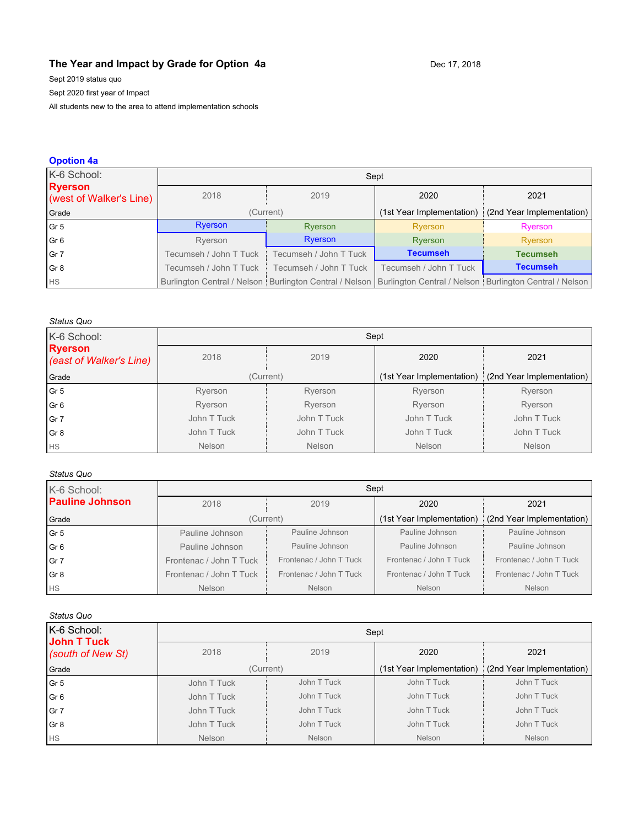### **The Year and Impact by Grade for Option 4a** Dec 17, 2018

Sept 2019 status quo

Sept 2020 first year of Impact

All students new to the area to attend implementation schools

#### **Opotion 4a** K-6 School: **Ryerson** (west of Walker's Line) Sept 2018 2019 2020 2021 Grade **(Grade** (Current) (Current) (Current) (1st Year Implementation) (2nd Year Implementation) Gr 5 Ryerson Register Ryerson Ryerson Ryerson Ryerson Ryerson Gr 6 Ryerson Breess Ryerson Ryerson Breess Ryerson Breess Ryerson Gr 7 Tecumseh / John T Tuck Tecumseh / John T Tuck **Tecumseh Tecumseh** Gr 8 Tecumseh / John T Tuck Tecumseh / John T Tuck Tecumseh / John T Tuck **Tecumseh** HS Burlington Central / Nelson Burlington Central / Nelson Burlington Central / Nelson Burlington Central / Nelson

### *Status Quo*

| K-6 School:                               | Sept        |               |                           |                           |
|-------------------------------------------|-------------|---------------|---------------------------|---------------------------|
| <b>Ryerson</b><br>(east of Walker's Line) | 2018        | 2019          | 2020                      | 2021                      |
| Grade                                     | (Current)   |               | (1st Year Implementation) | (2nd Year Implementation) |
| Gr 5                                      | Ryerson     | Ryerson       | Ryerson                   | Ryerson                   |
| Gr 6                                      | Ryerson     | Ryerson       | Ryerson                   | Ryerson                   |
| Gr 7                                      | John T Tuck | John T Tuck   | John T Tuck               | John T Tuck               |
| l Gr 8                                    | John T Tuck | John T Tuck   | John T Tuck               | John T Tuck               |
| <b>I</b> HS                               | Nelson      | <b>Nelson</b> | <b>Nelson</b>             | <b>Nelson</b>             |

### *Status Quo*

| K-6 School:            | Sept                    |                         |                           |                           |
|------------------------|-------------------------|-------------------------|---------------------------|---------------------------|
| <b>Pauline Johnson</b> | 2018                    | 2019                    | 2020                      | 2021                      |
| Grade                  |                         | (Current)               | (1st Year Implementation) | (2nd Year Implementation) |
| l Gr 5                 | Pauline Johnson         | Pauline Johnson         | Pauline Johnson           | Pauline Johnson           |
| Gr <sub>6</sub>        | Pauline Johnson         | Pauline Johnson         | Pauline Johnson           | Pauline Johnson           |
| l Gr 7                 | Frontenac / John T Tuck | Frontenac / John T Tuck | Frontenac / John T Tuck   | Frontenac / John T Tuck   |
| l Gr 8                 | Frontenac / John T Tuck | Frontenac / John T Tuck | Frontenac / John T Tuck   | Frontenac / John T Tuck   |
| <b>HS</b>              | <b>Nelson</b>           | Nelson                  | Nelson                    | <b>Nelson</b>             |

### *Status Quo*

| oualdo wao                       |               |             |                           |                           |  |
|----------------------------------|---------------|-------------|---------------------------|---------------------------|--|
| K-6 School:                      | Sept          |             |                           |                           |  |
| John T Tuck<br>(south of New St) | 2018          | 2019        | 2020                      | 2021                      |  |
| Grade                            |               | (Current)   | (1st Year Implementation) | (2nd Year Implementation) |  |
| $\sqrt{\frac{1}{1}}$             | John T Tuck   | John T Tuck | John T Tuck               | John T Tuck               |  |
| Gr6                              | John T Tuck   | John T Tuck | John T Tuck               | John T Tuck               |  |
| Gr 7                             | John T Tuck   | John T Tuck | John T Tuck               | John T Tuck               |  |
| Gr 8                             | John T Tuck   | John T Tuck | John T Tuck               | John T Tuck               |  |
| <b>HS</b>                        | <b>Nelson</b> | Nelson      | Nelson                    | Nelson                    |  |